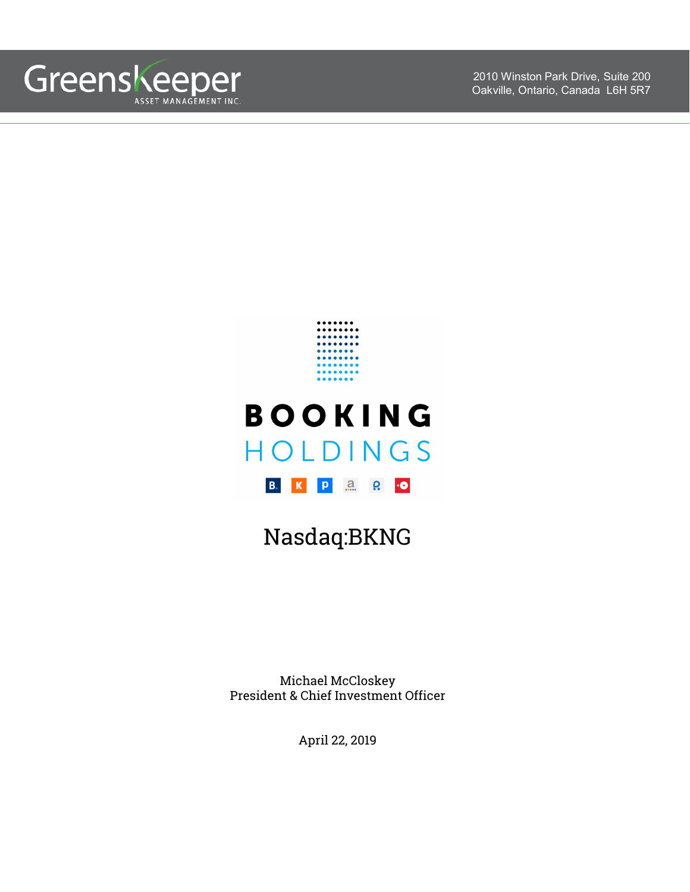

2010 Winston Park Drive, Suite 200 Oakville, Ontario, Canada L6H 5R7



# **BOOKING** HOLDINGS B. K P 3 C 0

## Nasdaq:BKNG

Michael McCloskey President & Chief Investment Officer

April 22, 2019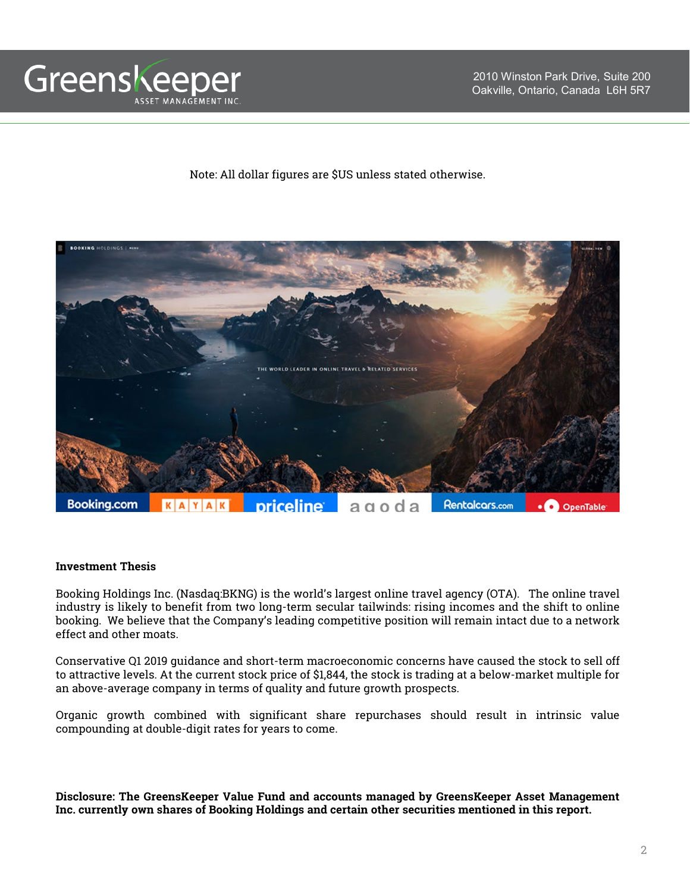

Note: All dollar figures are \$US unless stated otherwise.



#### **Investment Thesis**

Booking Holdings Inc. (Nasdaq:BKNG) is the world's largest online travel agency (OTA). The online travel industry is likely to benefit from two long-term secular tailwinds: rising incomes and the shift to online booking. We believe that the Company's leading competitive position will remain intact due to a network effect and other moats.

Conservative Q1 2019 guidance and short-term macroeconomic concerns have caused the stock to sell off to attractive levels. At the current stock price of \$1,844, the stock is trading at a below-market multiple for an above-average company in terms of quality and future growth prospects.

Organic growth combined with significant share repurchases should result in intrinsic value compounding at double-digit rates for years to come.

**Disclosure: The GreensKeeper Value Fund and accounts managed by GreensKeeper Asset Management Inc. currently own shares of Booking Holdings and certain other securities mentioned in this report.**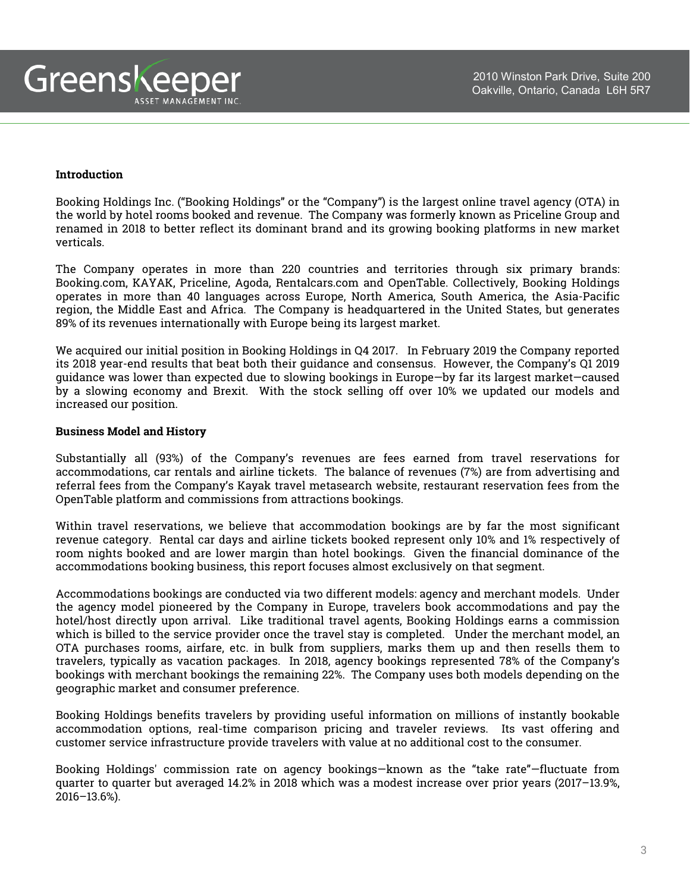#### **Introduction**

Booking Holdings Inc. ("Booking Holdings" or the "Company") is the largest online travel agency (OTA) in the world by hotel rooms booked and revenue. The Company was formerly known as Priceline Group and renamed in 2018 to better reflect its dominant brand and its growing booking platforms in new market verticals.

The Company operates in more than 220 countries and territories through six primary brands: Booking.com, KAYAK, Priceline, Agoda, Rentalcars.com and OpenTable. Collectively, Booking Holdings operates in more than 40 languages across Europe, North America, South America, the Asia-Pacific region, the Middle East and Africa. The Company is headquartered in the United States, but generates 89% of its revenues internationally with Europe being its largest market.

We acquired our initial position in Booking Holdings in Q4 2017. In February 2019 the Company reported its 2018 year-end results that beat both their guidance and consensus. However, the Company's Q1 2019 guidance was lower than expected due to slowing bookings in Europe—by far its largest market—caused by a slowing economy and Brexit. With the stock selling off over 10% we updated our models and increased our position.

#### **Business Model and History**

Substantially all (93%) of the Company's revenues are fees earned from travel reservations for accommodations, car rentals and airline tickets. The balance of revenues (7%) are from advertising and referral fees from the Company's Kayak travel metasearch website, restaurant reservation fees from the OpenTable platform and commissions from attractions bookings.

Within travel reservations, we believe that accommodation bookings are by far the most significant revenue category. Rental car days and airline tickets booked represent only 10% and 1% respectively of room nights booked and are lower margin than hotel bookings. Given the financial dominance of the accommodations booking business, this report focuses almost exclusively on that segment.

Accommodations bookings are conducted via two different models: agency and merchant models. Under the agency model pioneered by the Company in Europe, travelers book accommodations and pay the hotel/host directly upon arrival. Like traditional travel agents, Booking Holdings earns a commission which is billed to the service provider once the travel stay is completed. Under the merchant model, an OTA purchases rooms, airfare, etc. in bulk from suppliers, marks them up and then resells them to travelers, typically as vacation packages. In 2018, agency bookings represented 78% of the Company's bookings with merchant bookings the remaining 22%. The Company uses both models depending on the geographic market and consumer preference.

Booking Holdings benefits travelers by providing useful information on millions of instantly bookable accommodation options, real-time comparison pricing and traveler reviews. Its vast offering and customer service infrastructure provide travelers with value at no additional cost to the consumer.

Booking Holdings' commission rate on agency bookings—known as the "take rate"—fluctuate from quarter to quarter but averaged 14.2% in 2018 which was a modest increase over prior years (2017–13.9%, 2016–13.6%).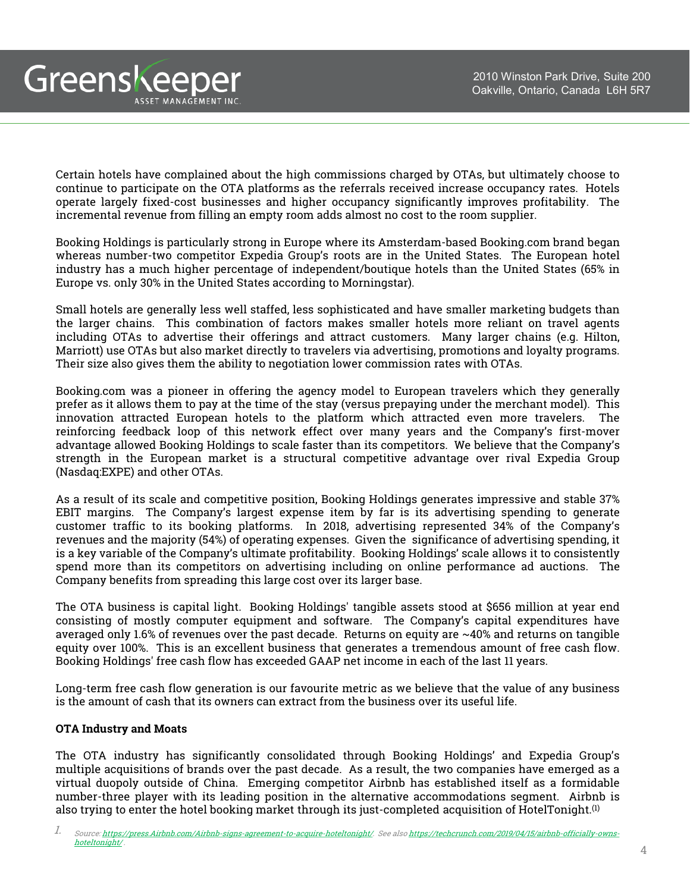Greenskeeper ASSET MANAGEMENT INC.

> Certain hotels have complained about the high commissions charged by OTAs, but ultimately choose to continue to participate on the OTA platforms as the referrals received increase occupancy rates. Hotels operate largely fixed-cost businesses and higher occupancy significantly improves profitability. The incremental revenue from filling an empty room adds almost no cost to the room supplier.

> Booking Holdings is particularly strong in Europe where its Amsterdam-based Booking.com brand began whereas number-two competitor Expedia Group's roots are in the United States. The European hotel industry has a much higher percentage of independent/boutique hotels than the United States (65% in Europe vs. only 30% in the United States according to Morningstar).

> Small hotels are generally less well staffed, less sophisticated and have smaller marketing budgets than the larger chains. This combination of factors makes smaller hotels more reliant on travel agents including OTAs to advertise their offerings and attract customers. Many larger chains (e.g. Hilton, Marriott) use OTAs but also market directly to travelers via advertising, promotions and loyalty programs. Their size also gives them the ability to negotiation lower commission rates with OTAs.

> Booking.com was a pioneer in offering the agency model to European travelers which they generally prefer as it allows them to pay at the time of the stay (versus prepaying under the merchant model). This innovation attracted European hotels to the platform which attracted even more travelers. The reinforcing feedback loop of this network effect over many years and the Company's first-mover advantage allowed Booking Holdings to scale faster than its competitors. We believe that the Company's strength in the European market is a structural competitive advantage over rival Expedia Group (Nasdaq:EXPE) and other OTAs.

> As a result of its scale and competitive position, Booking Holdings generates impressive and stable 37% EBIT margins. The Company's largest expense item by far is its advertising spending to generate customer traffic to its booking platforms. In 2018, advertising represented 34% of the Company's revenues and the majority (54%) of operating expenses. Given the significance of advertising spending, it is a key variable of the Company's ultimate profitability. Booking Holdings' scale allows it to consistently spend more than its competitors on advertising including on online performance ad auctions. The Company benefits from spreading this large cost over its larger base.

> The OTA business is capital light. Booking Holdings' tangible assets stood at \$656 million at year end consisting of mostly computer equipment and software. The Company's capital expenditures have averaged only 1.6% of revenues over the past decade. Returns on equity are ~40% and returns on tangible equity over 100%. This is an excellent business that generates a tremendous amount of free cash flow. Booking Holdings' free cash flow has exceeded GAAP net income in each of the last 11 years.

> Long-term free cash flow generation is our favourite metric as we believe that the value of any business is the amount of cash that its owners can extract from the business over its useful life.

## **OTA Industry and Moats**

The OTA industry has significantly consolidated through Booking Holdings' and Expedia Group's multiple acquisitions of brands over the past decade. As a result, the two companies have emerged as a virtual duopoly outside of China. Emerging competitor Airbnb has established itself as a formidable number-three player with its leading position in the alternative accommodations segment. Airbnb is also trying to enter the hotel booking market through its just-completed acquisition of HotelTonight. $^{\text{\tiny{(1)}}}$ 

<sup>1.</sup> [Source: h](https://techcrunch.com/2019/04/15/airbnb-officially-owns-hoteltonight/)[tt](https://press.airbnb.com/Airbnb-signs-agreement-to-acquire-hoteltonight/)[p](https://techcrunch.com/2019/04/15/airbnb-officially-owns-hoteltonight/)[s:](https://press.airbnb.com/Airbnb-signs-agreement-to-acquire-hoteltonight/)[//p](https://techcrunch.com/2019/04/15/airbnb-officially-owns-hoteltonight/)[ress.](https://press.airbnb.com/Airbnb-signs-agreement-to-acquire-hoteltonight/)[Ai](https://techcrunch.com/2019/04/15/airbnb-officially-owns-hoteltonight/)[r](https://press.airbnb.com/Airbnb-signs-agreement-to-acquire-hoteltonight/)[b](https://techcrunch.com/2019/04/15/airbnb-officially-owns-hoteltonight/)[n](https://press.airbnb.com/Airbnb-signs-agreement-to-acquire-hoteltonight/)[b](https://techcrunch.com/2019/04/15/airbnb-officially-owns-hoteltonight/)[.com](https://press.airbnb.com/Airbnb-signs-agreement-to-acquire-hoteltonight/)[/Ai](https://techcrunch.com/2019/04/15/airbnb-officially-owns-hoteltonight/)[r](https://press.airbnb.com/Airbnb-signs-agreement-to-acquire-hoteltonight/)[b](https://techcrunch.com/2019/04/15/airbnb-officially-owns-hoteltonight/)[n](https://press.airbnb.com/Airbnb-signs-agreement-to-acquire-hoteltonight/)[b](https://techcrunch.com/2019/04/15/airbnb-officially-owns-hoteltonight/)[-s](https://press.airbnb.com/Airbnb-signs-agreement-to-acquire-hoteltonight/)[ig](https://techcrunch.com/2019/04/15/airbnb-officially-owns-hoteltonight/)[ns-a](https://press.airbnb.com/Airbnb-signs-agreement-to-acquire-hoteltonight/)[g](https://techcrunch.com/2019/04/15/airbnb-officially-owns-hoteltonight/)[reement-to-ac](https://press.airbnb.com/Airbnb-signs-agreement-to-acquire-hoteltonight/)[q](https://techcrunch.com/2019/04/15/airbnb-officially-owns-hoteltonight/)[u](https://press.airbnb.com/Airbnb-signs-agreement-to-acquire-hoteltonight/)[i](https://techcrunch.com/2019/04/15/airbnb-officially-owns-hoteltonight/)[re-](https://press.airbnb.com/Airbnb-signs-agreement-to-acquire-hoteltonight/)[h](https://techcrunch.com/2019/04/15/airbnb-officially-owns-hoteltonight/)[ote](https://press.airbnb.com/Airbnb-signs-agreement-to-acquire-hoteltonight/)[l](https://techcrunch.com/2019/04/15/airbnb-officially-owns-hoteltonight/)[ton](https://press.airbnb.com/Airbnb-signs-agreement-to-acquire-hoteltonight/)[igh](https://techcrunch.com/2019/04/15/airbnb-officially-owns-hoteltonight/)[t](https://press.airbnb.com/Airbnb-signs-agreement-to-acquire-hoteltonight/)[/. See also https://techcrunch.com/2019/04/15/airbnb-officially-owns](https://techcrunch.com/2019/04/15/airbnb-officially-owns-hoteltonight/)hoteltonight/ .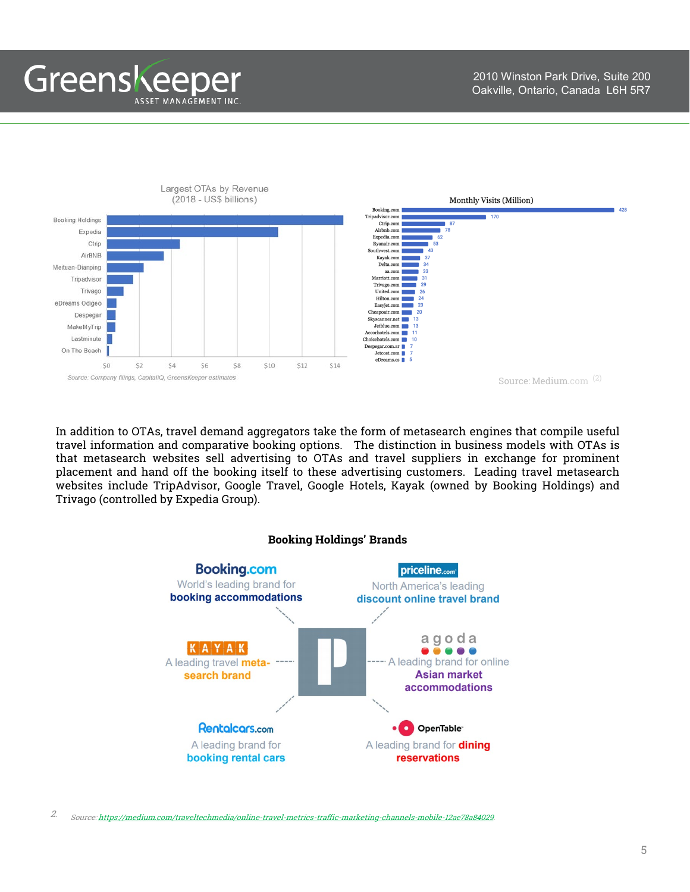Greenskeeper ASSET MANAGEMENT INC

2010 Winston Park Drive, Suite 200 Oakville, Ontario, Canada L6H 5R7



In addition to OTAs, travel demand aggregators take the form of metasearch engines that compile useful travel information and comparative booking options. The distinction in business models with OTAs is that metasearch websites sell advertising to OTAs and travel suppliers in exchange for prominent placement and hand off the booking itself to these advertising customers. Leading travel metasearch websites include TripAdvisor, Google Travel, Google Hotels, Kayak (owned by Booking Holdings) and Trivago (controlled by Expedia Group).



2. Source: [https://medium.com/traveltechmedia/online-travel-metrics-traffic-marketing-channels-mobile-12ae78a84029.](https://medium.com/traveltechmedia/online-travel-metrics-traffic-marketing-channels-mobile-12ae78a84029)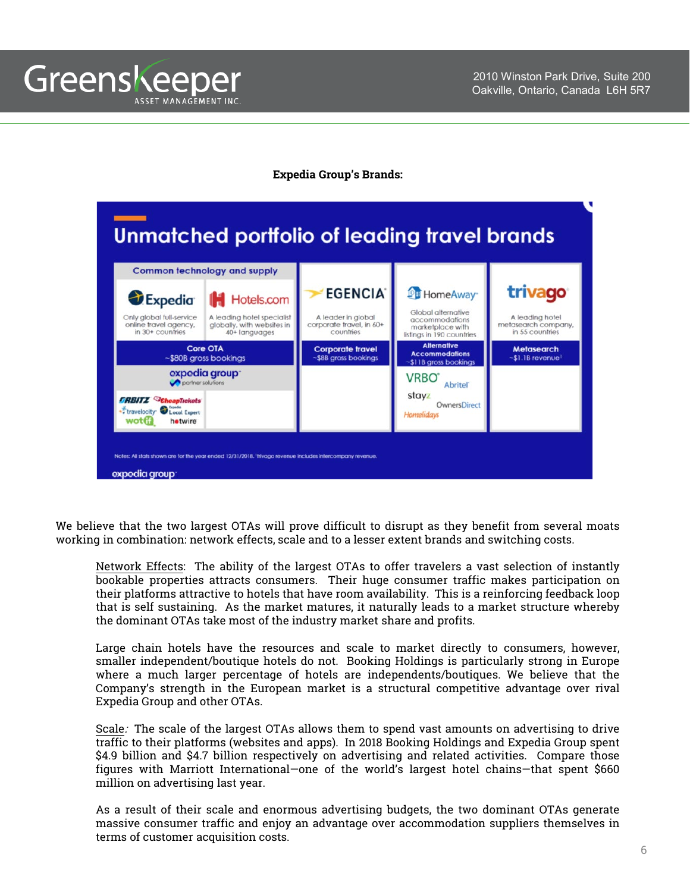

#### **Expedia Group's Brands:**



We believe that the two largest OTAs will prove difficult to disrupt as they benefit from several moats working in combination: network effects, scale and to a lesser extent brands and switching costs.

Network Effects: The ability of the largest OTAs to offer travelers a vast selection of instantly bookable properties attracts consumers. Their huge consumer traffic makes participation on their platforms attractive to hotels that have room availability. This is a reinforcing feedback loop that is self sustaining. As the market matures, it naturally leads to a market structure whereby the dominant OTAs take most of the industry market share and profits.

Large chain hotels have the resources and scale to market directly to consumers, however, smaller independent/boutique hotels do not. Booking Holdings is particularly strong in Europe where a much larger percentage of hotels are independents/boutiques. We believe that the Company's strength in the European market is a structural competitive advantage over rival Expedia Group and other OTAs.

Scale: The scale of the largest OTAs allows them to spend vast amounts on advertising to drive traffic to their platforms (websites and apps). In 2018 Booking Holdings and Expedia Group spent \$4.9 billion and \$4.7 billion respectively on advertising and related activities. Compare those figures with Marriott International—one of the world's largest hotel chains—that spent \$660 million on advertising last year.

As a result of their scale and enormous advertising budgets, the two dominant OTAs generate massive consumer traffic and enjoy an advantage over accommodation suppliers themselves in terms of customer acquisition costs.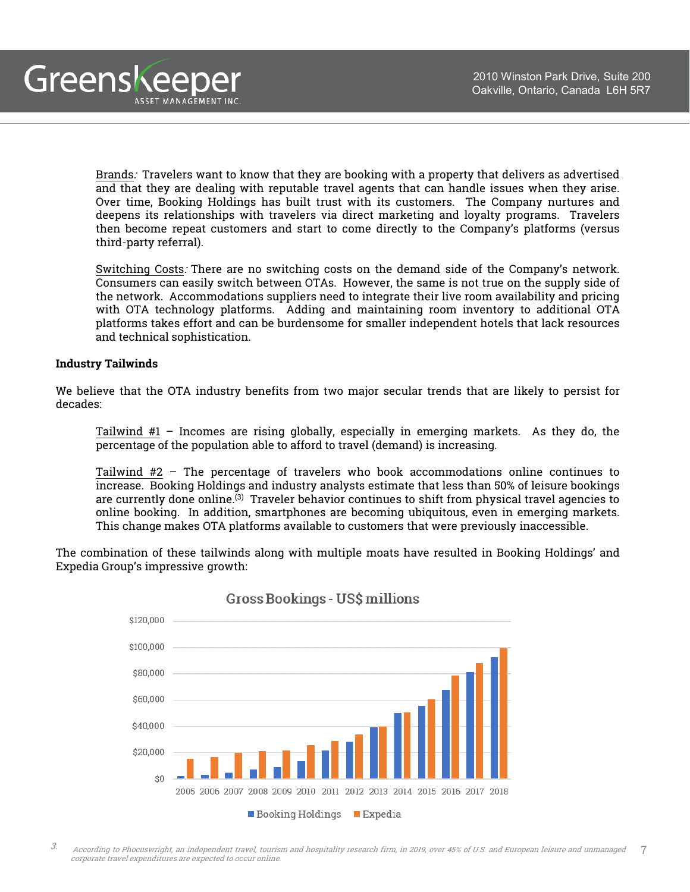

Brands: Travelers want to know that they are booking with a property that delivers as advertised and that they are dealing with reputable travel agents that can handle issues when they arise. Over time, Booking Holdings has built trust with its customers. The Company nurtures and deepens its relationships with travelers via direct marketing and loyalty programs. Travelers then become repeat customers and start to come directly to the Company's platforms (versus third-party referral).

Switching Costs: There are no switching costs on the demand side of the Company's network. Consumers can easily switch between OTAs. However, the same is not true on the supply side of the network. Accommodations suppliers need to integrate their live room availability and pricing with OTA technology platforms. Adding and maintaining room inventory to additional OTA platforms takes effort and can be burdensome for smaller independent hotels that lack resources and technical sophistication.

#### **Industry Tailwinds**

We believe that the OTA industry benefits from two major secular trends that are likely to persist for decades:

Tailwind #1 – Incomes are rising globally, especially in emerging markets. As they do, the percentage of the population able to afford to travel (demand) is increasing.

Tailwind #2 – The percentage of travelers who book accommodations online continues to increase. Booking Holdings and industry analysts estimate that less than 50% of leisure bookings are currently done online.<sup>(3)</sup> Traveler behavior continues to shift from physical travel agencies to online booking. In addition, smartphones are becoming ubiquitous, even in emerging markets. This change makes OTA platforms available to customers that were previously inaccessible.

The combination of these tailwinds along with multiple moats have resulted in Booking Holdings' and Expedia Group's impressive growth:



## **Gross Bookings - US\$ millions**

7 3. According to Phocuswright, an independent travel, tourism and hospitality research firm, in 2019, over 45% of U.S. and European leisure and unmanaged corporate travel expenditures are expected to occur online.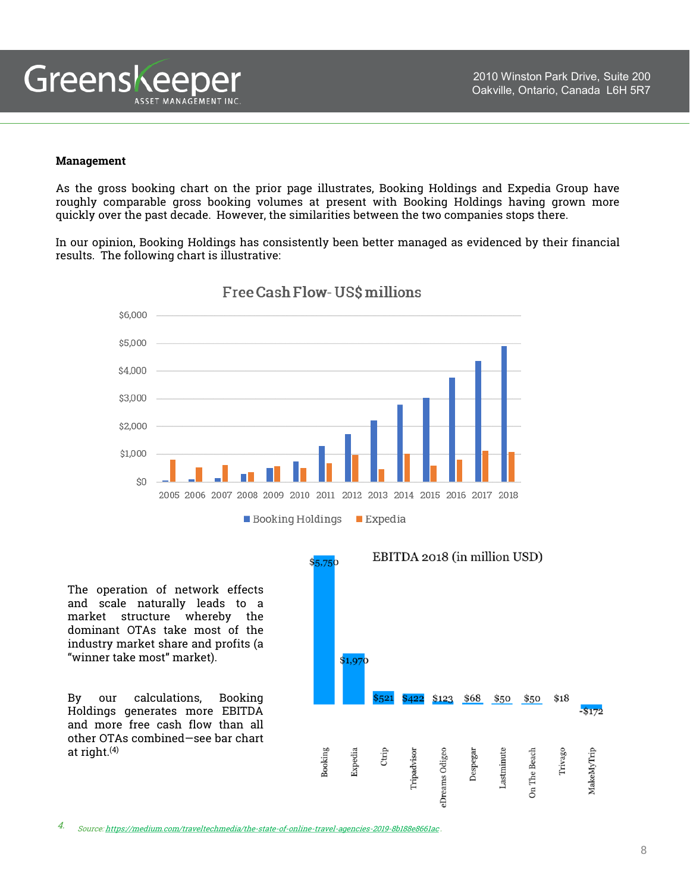

#### **Management**

As the gross booking chart on the prior page illustrates, Booking Holdings and Expedia Group have roughly comparable gross booking volumes at present with Booking Holdings having grown more quickly over the past decade. However, the similarities between the two companies stops there.

In our opinion, Booking Holdings has consistently been better managed as evidenced by their financial results. The following chart is illustrative:



Free Cash Flow-US\$ millions

The operation of network effects and scale naturally leads to a market structure whereby the dominant OTAs take most of the industry market share and profits (a "winner take most" market).

By our calculations, Booking Holdings generates more EBITDA and more free cash flow than all other OTAs combined—see bar chart at right. (4)



4. Source: <https://medium.com/traveltechmedia/the-state-of-online-travel-agencies-2019-8b188e8661ac> .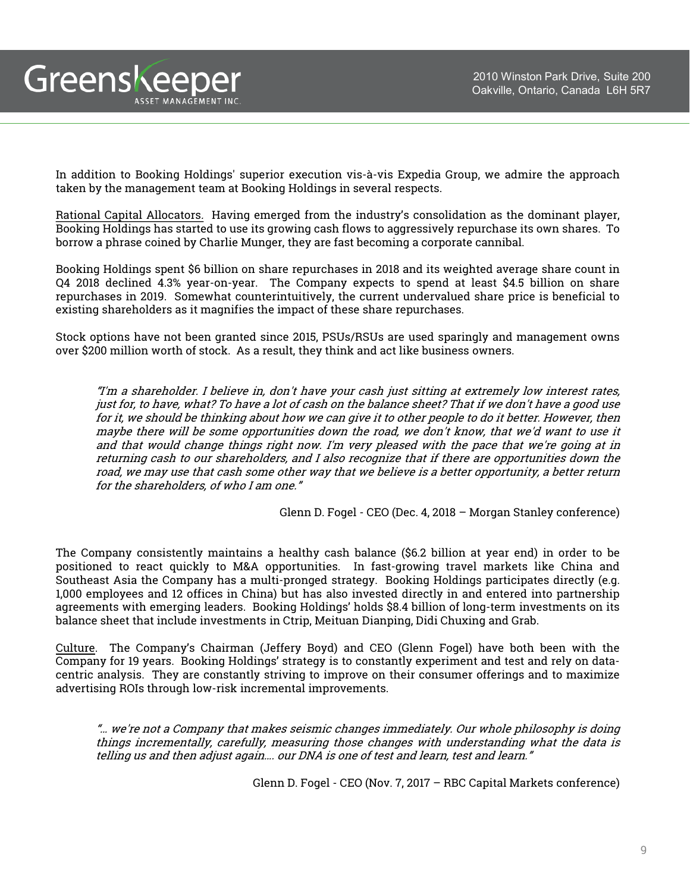In addition to Booking Holdings' superior execution vis-à-vis Expedia Group, we admire the approach taken by the management team at Booking Holdings in several respects.

Greenskeeper

ASSET MANAGEMENT INC.

Rational Capital Allocators. Having emerged from the industry's consolidation as the dominant player, Booking Holdings has started to use its growing cash flows to aggressively repurchase its own shares. To borrow a phrase coined by Charlie Munger, they are fast becoming a corporate cannibal.

Booking Holdings spent \$6 billion on share repurchases in 2018 and its weighted average share count in Q4 2018 declined 4.3% year-on-year. The Company expects to spend at least \$4.5 billion on share repurchases in 2019. Somewhat counterintuitively, the current undervalued share price is beneficial to existing shareholders as it magnifies the impact of these share repurchases.

Stock options have not been granted since 2015, PSUs/RSUs are used sparingly and management owns over \$200 million worth of stock. As a result, they think and act like business owners.

"I'm <sup>a</sup> shareholder. I believe in, don't have your cash just sitting at extremely low interest rates, just for, to have, what? To have <sup>a</sup> lot of cash on the balance sheet? That if we don't have <sup>a</sup> good use for it, we should be thinking about how we can give it to other people to do it better. However, then maybe there will be some opportunities down the road, we don't know, that we'd want to use it and that would change things right now. I'm very pleased with the pace that we're going at in returning cash to our shareholders, and I also recognize that if there are opportunities down the road, we may use that cash some other way that we believe is <sup>a</sup> better opportunity, <sup>a</sup> better return for the shareholders, of who I am one."

Glenn D. Fogel - CEO (Dec. 4, 2018 – Morgan Stanley conference)

The Company consistently maintains a healthy cash balance (\$6.2 billion at year end) in order to be positioned to react quickly to M&A opportunities. In fast-growing travel markets like China and Southeast Asia the Company has a multi-pronged strategy. Booking Holdings participates directly (e.g. 1,000 employees and 12 offices in China) but has also invested directly in and entered into partnership agreements with emerging leaders. Booking Holdings' holds \$8.4 billion of long-term investments on its balance sheet that include investments in Ctrip, Meituan Dianping, Didi Chuxing and Grab.

Culture. The Company's Chairman (Jeffery Boyd) and CEO (Glenn Fogel) have both been with the Company for 19 years. Booking Holdings' strategy is to constantly experiment and test and rely on datacentric analysis. They are constantly striving to improve on their consumer offerings and to maximize advertising ROIs through low-risk incremental improvements.

"… we're not <sup>a</sup> Company that makes seismic changes immediately. Our whole philosophy is doing things incrementally, carefully, measuring those changes with understanding what the data is telling us and then adjust again…. our DNA is one of test and learn, test and learn."

Glenn D. Fogel - CEO (Nov. 7, 2017 – RBC Capital Markets conference)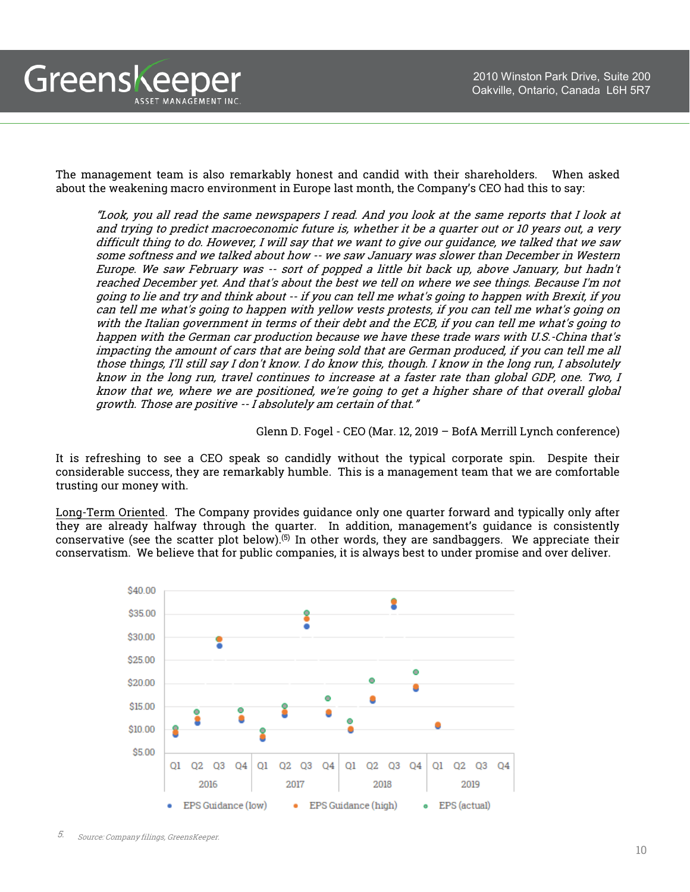The management team is also remarkably honest and candid with their shareholders. When asked about the weakening macro environment in Europe last month, the Company's CEO had this to say:

"Look, you all read the same newspapers I read. And you look at the same reports that I look at and trying to predict macroeconomic future is, whether it be <sup>a</sup> quarter out or 10 years out, <sup>a</sup> very difficult thing to do. However, I will say that we want to give our guidance, we talked that we saw some softness and we talked about how -- we saw January was slower than December in Western Europe. We saw February was -- sort of popped <sup>a</sup> little bit back up, above January, but hadn't reached December yet. And that's about the best we tell on where we see things. Because I'm not going to lie and try and think about -- if you can tell me what's going to happen with Brexit, if you can tell me what's going to happen with yellow vests protests, if you can tell me what's going on with the Italian government in terms of their debt and the ECB, if you can tell me what's going to happen with the German car production because we have these trade wars with U.S.-China that's impacting the amount of cars that are being sold that are German produced, if you can tell me all those things, I'll still say I don't know. I do know this, though. I know in the long run, I absolutely know in the long run, travel continues to increase at <sup>a</sup> faster rate than global GDP, one. Two, I know that we, where we are positioned, we're going to get <sup>a</sup> higher share of that overall global growth. Those are positive -- I absolutely am certain of that."

Glenn D. Fogel - CEO (Mar. 12, 2019 – BofA Merrill Lynch conference)

It is refreshing to see a CEO speak so candidly without the typical corporate spin. Despite their considerable success, they are remarkably humble. This is a management team that we are comfortable trusting our money with.

Long-Term Oriented. The Company provides guidance only one quarter forward and typically only after they are already halfway through the quarter. In addition, management's guidance is consistently conservative (see the scatter plot below).<sup>(5)</sup> In other words, they are sandbaggers. We appreciate their conservatism. We believe that for public companies, it is always best to under promise and over deliver.



Greenskeeper

ASSET MANAGEMENT INC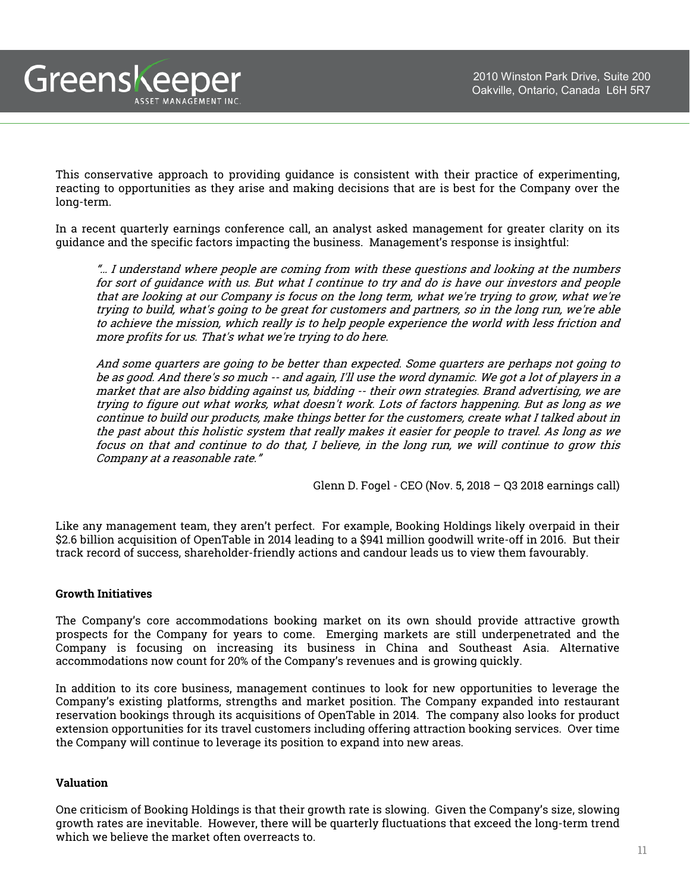This conservative approach to providing guidance is consistent with their practice of experimenting, reacting to opportunities as they arise and making decisions that are is best for the Company over the long-term.

In a recent quarterly earnings conference call, an analyst asked management for greater clarity on its guidance and the specific factors impacting the business. Management's response is insightful:

"… I understand where people are coming from with these questions and looking at the numbers for sort of guidance with us. But what I continue to try and do is have our investors and people that are looking at our Company is focus on the long term, what we're trying to grow, what we're trying to build, what's going to be great for customers and partners, so in the long run, we're able to achieve the mission, which really is to help people experience the world with less friction and more profits for us. That's what we're trying to do here.

And some quarters are going to be better than expected. Some quarters are perhaps not going to be as good. And there's so much -- and again, I'll use the word dynamic. We got <sup>a</sup> lot of players in <sup>a</sup> market that are also bidding against us, bidding -- their own strategies. Brand advertising, we are trying to figure out what works, what doesn't work. Lots of factors happening. But as long as we continue to build our products, make things better for the customers, create what I talked about in the past about this holistic system that really makes it easier for people to travel. As long as we focus on that and continue to do that, I believe, in the long run, we will continue to grow this Company at <sup>a</sup> reasonable rate."

Glenn D. Fogel - CEO (Nov. 5, 2018 – Q3 2018 earnings call)

Like any management team, they aren't perfect. For example, Booking Holdings likely overpaid in their \$2.6 billion acquisition of OpenTable in 2014 leading to a \$941 million goodwill write-off in 2016. But their track record of success, shareholder-friendly actions and candour leads us to view them favourably.

#### **Growth Initiatives**

Greenskeeper

ASSET MANAGEMENT INC

The Company's core accommodations booking market on its own should provide attractive growth prospects for the Company for years to come. Emerging markets are still underpenetrated and the Company is focusing on increasing its business in China and Southeast Asia. Alternative accommodations now count for 20% of the Company's revenues and is growing quickly.

In addition to its core business, management continues to look for new opportunities to leverage the Company's existing platforms, strengths and market position. The Company expanded into restaurant reservation bookings through its acquisitions of OpenTable in 2014. The company also looks for product extension opportunities for its travel customers including offering attraction booking services. Over time the Company will continue to leverage its position to expand into new areas.

#### **Valuation**

One criticism of Booking Holdings is that their growth rate is slowing. Given the Company's size, slowing growth rates are inevitable. However, there will be quarterly fluctuations that exceed the long-term trend which we believe the market often overreacts to.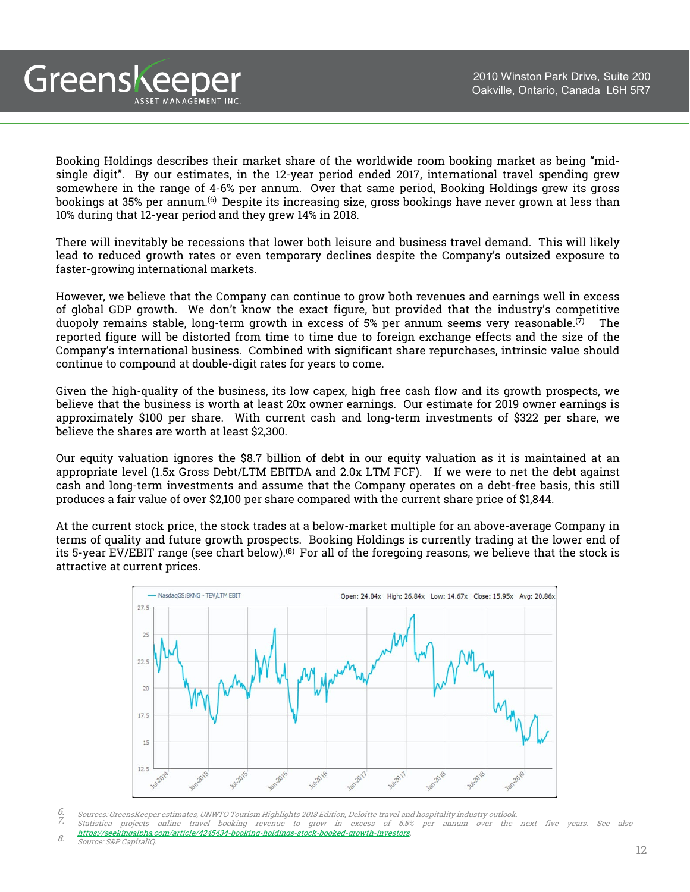Booking Holdings describes their market share of the worldwide room booking market as being "midsingle digit". By our estimates, in the 12-year period ended 2017, international travel spending grew somewhere in the range of 4-6% per annum. Over that same period, Booking Holdings grew its gross bookings at 35% per annum.<sup>(6)</sup> Despite its increasing size, gross bookings have never grown at less than 10% during that 12-year period and they grew 14% in 2018.

There will inevitably be recessions that lower both leisure and business travel demand. This will likely lead to reduced growth rates or even temporary declines despite the Company's outsized exposure to faster-growing international markets.

However, we believe that the Company can continue to grow both revenues and earnings well in excess of global GDP growth. We don't know the exact figure, but provided that the industry's competitive duopoly remains stable, long-term growth in excess of 5% per annum seems very reasonable. $^{(7)}$   $\,$  The  $\,$ reported figure will be distorted from time to time due to foreign exchange effects and the size of the Company's international business. Combined with significant share repurchases, intrinsic value should continue to compound at double-digit rates for years to come.

Given the high-quality of the business, its low capex, high free cash flow and its growth prospects, we believe that the business is worth at least 20x owner earnings. Our estimate for 2019 owner earnings is approximately \$100 per share. With current cash and long-term investments of \$322 per share, we believe the shares are worth at least \$2,300.

Our equity valuation ignores the \$8.7 billion of debt in our equity valuation as it is maintained at an appropriate level (1.5x Gross Debt/LTM EBITDA and 2.0x LTM FCF). If we were to net the debt against cash and long-term investments and assume that the Company operates on a debt-free basis, this still produces a fair value of over \$2,100 per share compared with the current share price of \$1,844.

At the current stock price, the stock trades at a below-market multiple for an above-average Company in terms of quality and future growth prospects. Booking Holdings is currently trading at the lower end of its 5-year EV/EBIT range (see chart below). $^{(8)}$  For all of the foregoing reasons, we believe that the stock is attractive at current prices.



<sup>6.</sup> Sources: GreensKeeper estimates, UNWTO Tourism Highlights 2018 Edition, Deloitte travel and hospitality industry outlook.<br>7. Statistics prejects, apling, travel, booking, revenue, to grow, in avesse of 6.5%, per appum,

Greenskeeper

ASSET MANAGEMENT INC

Statistica projects online travel booking revenue to grow in excess of 6.5% per annum over the next five years. See also <https://seekingalpha.com/article/4245434-booking-holdings-stock-booked-growth-investors>.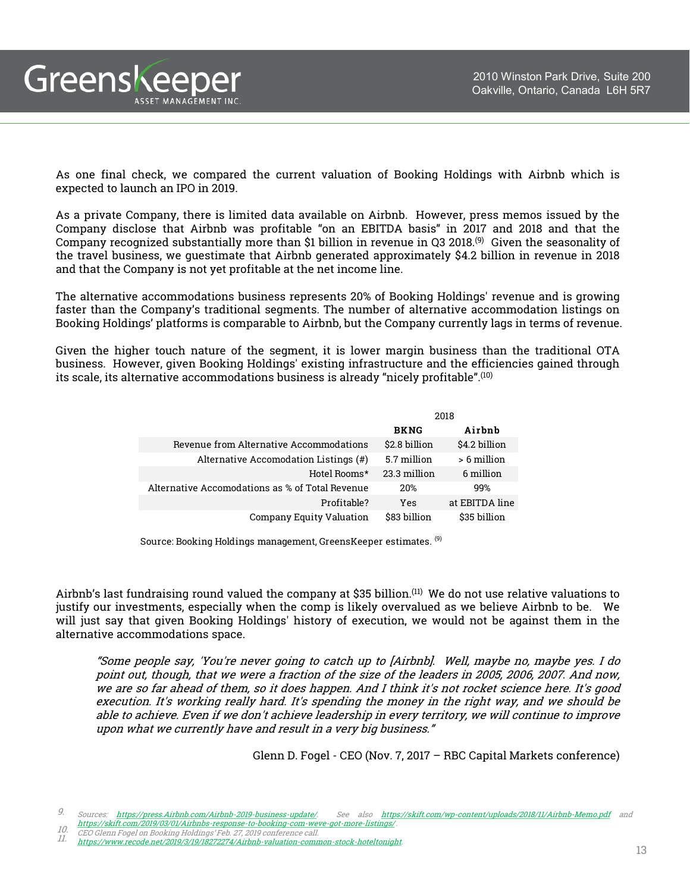As one final check, we compared the current valuation of Booking Holdings with Airbnb which is expected to launch an IPO in 2019.

As a private Company, there is limited data available on Airbnb. However, press memos issued by the Company disclose that Airbnb was profitable "on an EBITDA basis" in 2017 and 2018 and that the Company recognized substantially more than \$1 billion in revenue in Q3 2018. $^{(9)}$  Given the seasonality of the travel business, we guestimate that Airbnb generated approximately \$4.2 billion in revenue in 2018 and that the Company is not yet profitable at the net income line.

The alternative accommodations business represents 20% of Booking Holdings' revenue and is growing faster than the Company's traditional segments. The number of alternative accommodation listings on Booking Holdings' platforms is comparable to Airbnb, but the Company currently lags in terms of revenue.

Given the higher touch nature of the segment, it is lower margin business than the traditional OTA business. However, given Booking Holdings' existing infrastructure and the efficiencies gained through its scale, its alternative accommodations business is already "nicely profitable". $^{\textrm{\tiny{(10)}}}$ 

|                                                 | 2018          |                |
|-------------------------------------------------|---------------|----------------|
|                                                 | <b>BKNG</b>   | Airbnb         |
| Revenue from Alternative Accommodations         | \$2.8 billion | \$4.2 billion  |
| Alternative Accomodation Listings (#)           | 5.7 million   | > 6 million    |
| Hotel Rooms*                                    | 23.3 million  | 6 million      |
| Alternative Accomodations as % of Total Revenue | 20%           | 99%            |
| Profitable?                                     | Yes           | at EBITDA line |
| Company Equity Valuation                        | \$83 billion  | \$35 billion   |

Source: Booking Holdings management, GreensKeeper estimates. <sup>(9)</sup>

Airbnb's last fundraising round valued the company at \$35 billion. (11) We do not use relative valuations to justify our investments, especially when the comp is likely overvalued as we believe Airbnb to be. We will just say that given Booking Holdings' history of execution, we would not be against them in the alternative accommodations space.

"Some people say, 'You're never going to catch up to [Airbnb]. Well, maybe no, maybe yes. <sup>I</sup> do point out, though, that we were <sup>a</sup> fraction of the size of the leaders in 2005, 2006, 2007. And now, we are so far ahead of them, so it does happen. And I think it's not rocket science here. It's good execution. It's working really hard. It's spending the money in the right way, and we should be able to achieve. Even if we don't achieve leadership in every territory, we will continue to improve upon what we currently have and result in <sup>a</sup> very big business."

Glenn D. Fogel - CEO (Nov. 7, 2017 – RBC Capital Markets conference)

Greenskeeper

ASSET MANAGEMENT INC

<sup>9.</sup> Sources: https://press.Airbnb.com/Airbnb-2019-business-update/. See also <https://skift.com/wp-content/uploads/2018/11/Airbnb-Memo.pdf> and <https://skift.com/2019/03/01/Airbnbs-response-to-booking-com-weve-got-more-listings/> . 10. CEO Glenn Fogel on Booking Holdings' Feb. 27, <sup>2019</sup> conference call.

<sup>10.</sup> [https://www.recode.net/2019/3/19/18272274/Airbnb-valuation-common-stock-hoteltonight.](https://www.recode.net/2019/3/19/18272274/Airbnb-valuation-common-stock-hoteltonight)<br>11. https://www.recode.net/2019/3/19/18272274/Airbnb-valuation-common-stock-hoteltonight.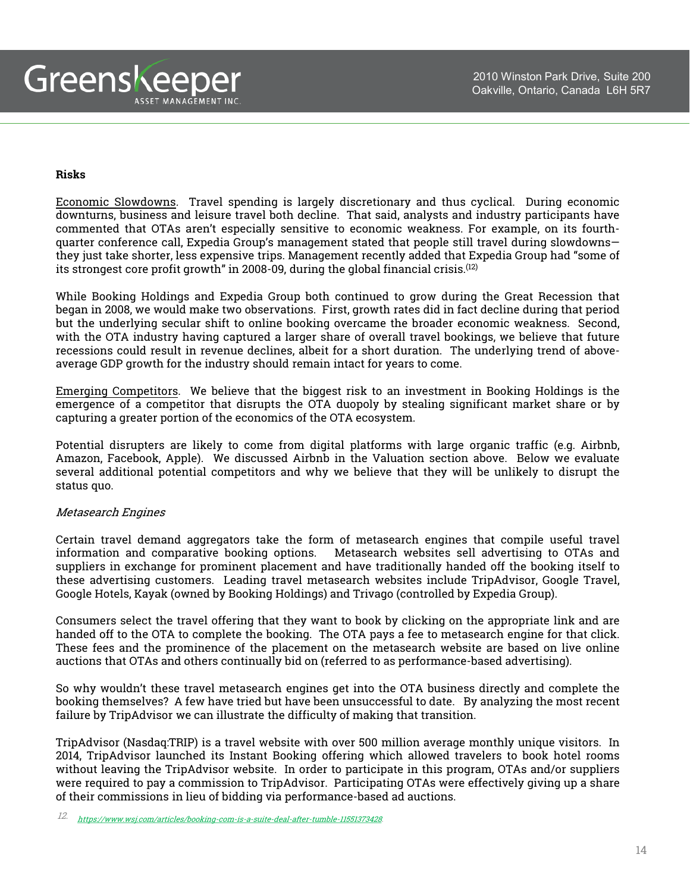

#### **Risks**

Economic Slowdowns. Travel spending is largely discretionary and thus cyclical. During economic downturns, business and leisure travel both decline. That said, analysts and industry participants have commented that OTAs aren't especially sensitive to economic weakness. For example, on its fourthquarter conference call, Expedia Group's management stated that people still travel during slowdowns they just take shorter, less expensive trips. Management recently added that Expedia Group had "some of its strongest core profit growth" in 2008-09, during the global financial crisis. $^{\left( 12\right) }$ 

While Booking Holdings and Expedia Group both continued to grow during the Great Recession that began in 2008, we would make two observations. First, growth rates did in fact decline during that period but the underlying secular shift to online booking overcame the broader economic weakness. Second, with the OTA industry having captured a larger share of overall travel bookings, we believe that future recessions could result in revenue declines, albeit for a short duration. The underlying trend of aboveaverage GDP growth for the industry should remain intact for years to come.

Emerging Competitors. We believe that the biggest risk to an investment in Booking Holdings is the emergence of a competitor that disrupts the OTA duopoly by stealing significant market share or by capturing a greater portion of the economics of the OTA ecosystem.

Potential disrupters are likely to come from digital platforms with large organic traffic (e.g. Airbnb, Amazon, Facebook, Apple). We discussed Airbnb in the Valuation section above. Below we evaluate several additional potential competitors and why we believe that they will be unlikely to disrupt the status quo.

#### Metasearch Engines

Certain travel demand aggregators take the form of metasearch engines that compile useful travel information and comparative booking options. Metasearch websites sell advertising to OTAs and suppliers in exchange for prominent placement and have traditionally handed off the booking itself to these advertising customers. Leading travel metasearch websites include TripAdvisor, Google Travel, Google Hotels, Kayak (owned by Booking Holdings) and Trivago (controlled by Expedia Group).

Consumers select the travel offering that they want to book by clicking on the appropriate link and are handed off to the OTA to complete the booking. The OTA pays a fee to metasearch engine for that click. These fees and the prominence of the placement on the metasearch website are based on live online auctions that OTAs and others continually bid on (referred to as performance-based advertising).

So why wouldn't these travel metasearch engines get into the OTA business directly and complete the booking themselves? A few have tried but have been unsuccessful to date. By analyzing the most recent failure by TripAdvisor we can illustrate the difficulty of making that transition.

TripAdvisor (Nasdaq:TRIP) is a travel website with over 500 million average monthly unique visitors. In 2014, TripAdvisor launched its Instant Booking offering which allowed travelers to book hotel rooms without leaving the TripAdvisor website. In order to participate in this program, OTAs and/or suppliers were required to pay a commission to TripAdvisor. Participating OTAs were effectively giving up a share of their commissions in lieu of bidding via performance-based ad auctions.

<sup>12.</sup> [https://www.wsj.com/articles/booking-com-is-a-suite-deal-after-tumble-11551373428.](https://www.wsj.com/articles/booking-com-is-a-suite-deal-after-tumble-11551373428)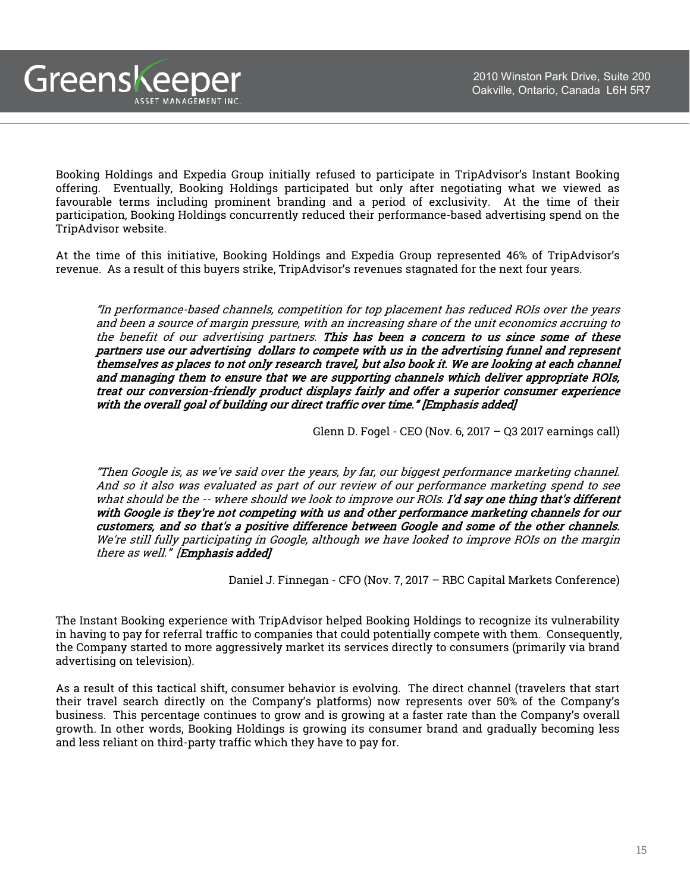Booking Holdings and Expedia Group initially refused to participate in TripAdvisor's Instant Booking offering. Eventually, Booking Holdings participated but only after negotiating what we viewed as favourable terms including prominent branding and a period of exclusivity. At the time of their participation, Booking Holdings concurrently reduced their performance-based advertising spend on the TripAdvisor website.

Greenskeeper

ASSET MANAGEMENT INC.

At the time of this initiative, Booking Holdings and Expedia Group represented 46% of TripAdvisor's revenue. As a result of this buyers strike, TripAdvisor's revenues stagnated for the next four years.

"In performance-based channels, competition for top placement has reduced ROIs over the years and been <sup>a</sup> source of margin pressure, with an increasing share of the unit economics accruing to the benefit of our advertising partners. This has been <sup>a</sup> concern to us since some of these partners use our advertising dollars to compete with us in the advertising funnel and represent themselves as places to not only research travel, but also book it. We are looking at each channel and managing them to ensure that we are supporting channels which deliver appropriate ROIs, treat our conversion-friendly product displays fairly and offer <sup>a</sup> superior consumer experience with the overall goal of building our direct traffic over time." [Emphasis added]

Glenn D. Fogel - CEO (Nov. 6, 2017 – Q3 2017 earnings call)

"Then Google is, as we've said over the years, by far, our biggest performance marketing channel. And so it also was evaluated as part of our review of our performance marketing spend to see what should be the -- where should we look to improve our ROIs. I'd say one thing that's different with Google is they're not competing with us and other performance marketing channels for our customers, and so that's <sup>a</sup> positive difference between Google and some of the other channels. We're still fully participating in Google, although we have looked to improve ROIs on the margin there as well." [Emphasis added]

Daniel J. Finnegan - CFO (Nov. 7, 2017 – RBC Capital Markets Conference)

The Instant Booking experience with TripAdvisor helped Booking Holdings to recognize its vulnerability in having to pay for referral traffic to companies that could potentially compete with them. Consequently, the Company started to more aggressively market its services directly to consumers (primarily via brand advertising on television).

As a result of this tactical shift, consumer behavior is evolving. The direct channel (travelers that start their travel search directly on the Company's platforms) now represents over 50% of the Company's business. This percentage continues to grow and is growing at a faster rate than the Company's overall growth. In other words, Booking Holdings is growing its consumer brand and gradually becoming less and less reliant on third-party traffic which they have to pay for.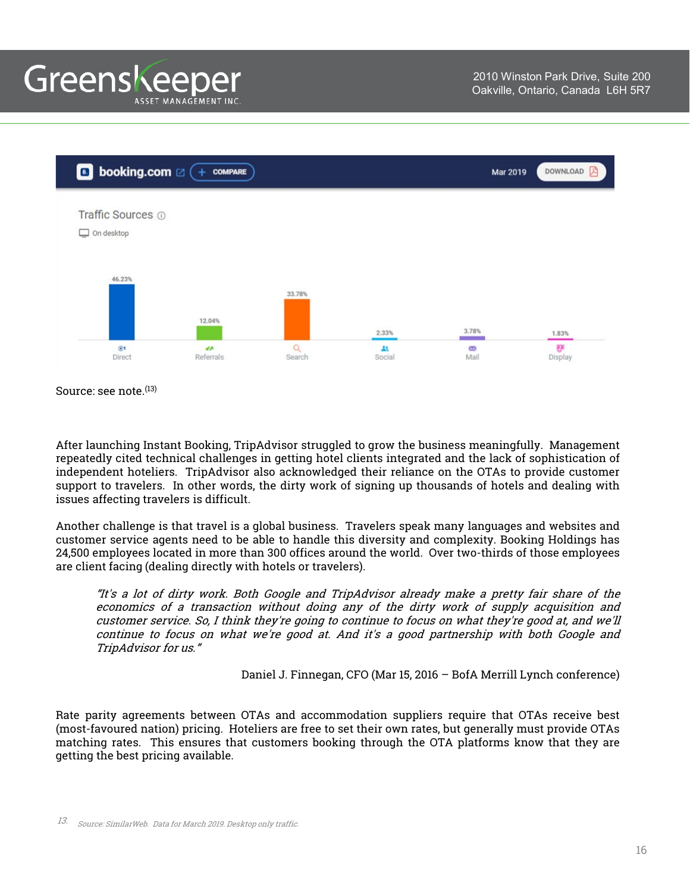

Source: see note. (13)

After launching Instant Booking, TripAdvisor struggled to grow the business meaningfully. Management repeatedly cited technical challenges in getting hotel clients integrated and the lack of sophistication of independent hoteliers. TripAdvisor also acknowledged their reliance on the OTAs to provide customer support to travelers. In other words, the dirty work of signing up thousands of hotels and dealing with issues affecting travelers is difficult.

Another challenge is that travel is a global business. Travelers speak many languages and websites and customer service agents need to be able to handle this diversity and complexity. Booking Holdings has 24,500 employees located in more than 300 offices around the world. Over two-thirds of those employees are client facing (dealing directly with hotels or travelers).

"It's <sup>a</sup> lot of dirty work. Both Google and TripAdvisor already make <sup>a</sup> pretty fair share of the economics of <sup>a</sup> transaction without doing any of the dirty work of supply acquisition and customer service. So, I think they're going to continue to focus on what they're good at, and we'll continue to focus on what we're good at. And it's <sup>a</sup> good partnership with both Google and TripAdvisor for us."

Daniel J. Finnegan, CFO (Mar 15, 2016 – BofA Merrill Lynch conference)

Rate parity agreements between OTAs and accommodation suppliers require that OTAs receive best (most-favoured nation) pricing. Hoteliers are free to set their own rates, but generally must provide OTAs matching rates. This ensures that customers booking through the OTA platforms know that they are getting the best pricing available.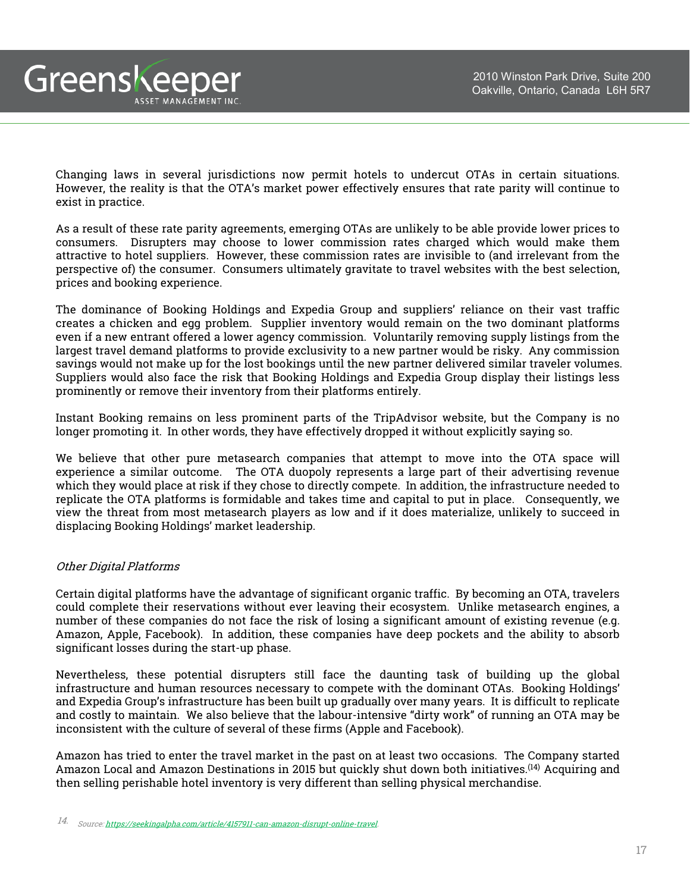Greenskeeper ASSET MANAGEMENT INC.

> Changing laws in several jurisdictions now permit hotels to undercut OTAs in certain situations. However, the reality is that the OTA's market power effectively ensures that rate parity will continue to exist in practice.

> As a result of these rate parity agreements, emerging OTAs are unlikely to be able provide lower prices to consumers. Disrupters may choose to lower commission rates charged which would make them attractive to hotel suppliers. However, these commission rates are invisible to (and irrelevant from the perspective of) the consumer. Consumers ultimately gravitate to travel websites with the best selection, prices and booking experience.

> The dominance of Booking Holdings and Expedia Group and suppliers' reliance on their vast traffic creates a chicken and egg problem. Supplier inventory would remain on the two dominant platforms even if a new entrant offered a lower agency commission. Voluntarily removing supply listings from the largest travel demand platforms to provide exclusivity to a new partner would be risky. Any commission savings would not make up for the lost bookings until the new partner delivered similar traveler volumes. Suppliers would also face the risk that Booking Holdings and Expedia Group display their listings less prominently or remove their inventory from their platforms entirely.

> Instant Booking remains on less prominent parts of the TripAdvisor website, but the Company is no longer promoting it. In other words, they have effectively dropped it without explicitly saying so.

> We believe that other pure metasearch companies that attempt to move into the OTA space will experience a similar outcome. The OTA duopoly represents a large part of their advertising revenue which they would place at risk if they chose to directly compete. In addition, the infrastructure needed to replicate the OTA platforms is formidable and takes time and capital to put in place. Consequently, we view the threat from most metasearch players as low and if it does materialize, unlikely to succeed in displacing Booking Holdings' market leadership.

## Other Digital Platforms

Certain digital platforms have the advantage of significant organic traffic. By becoming an OTA, travelers could complete their reservations without ever leaving their ecosystem. Unlike metasearch engines, a number of these companies do not face the risk of losing a significant amount of existing revenue (e.g. Amazon, Apple, Facebook). In addition, these companies have deep pockets and the ability to absorb significant losses during the start-up phase.

Nevertheless, these potential disrupters still face the daunting task of building up the global infrastructure and human resources necessary to compete with the dominant OTAs. Booking Holdings' and Expedia Group's infrastructure has been built up gradually over many years. It is difficult to replicate and costly to maintain. We also believe that the labour-intensive "dirty work" of running an OTA may be inconsistent with the culture of several of these firms (Apple and Facebook).

Amazon has tried to enter the travel market in the past on at least two occasions. The Company started Amazon Local and Amazon Destinations in 2015 but quickly shut down both initiatives.<sup>(14)</sup> Acquiring and then selling perishable hotel inventory is very different than selling physical merchandise.

<sup>14.</sup> Source: [https://seekingalpha.com/article/4157911-can-amazon-disrupt-online-travel.](https://seekingalpha.com/article/4157911-can-amazon-disrupt-online-travel)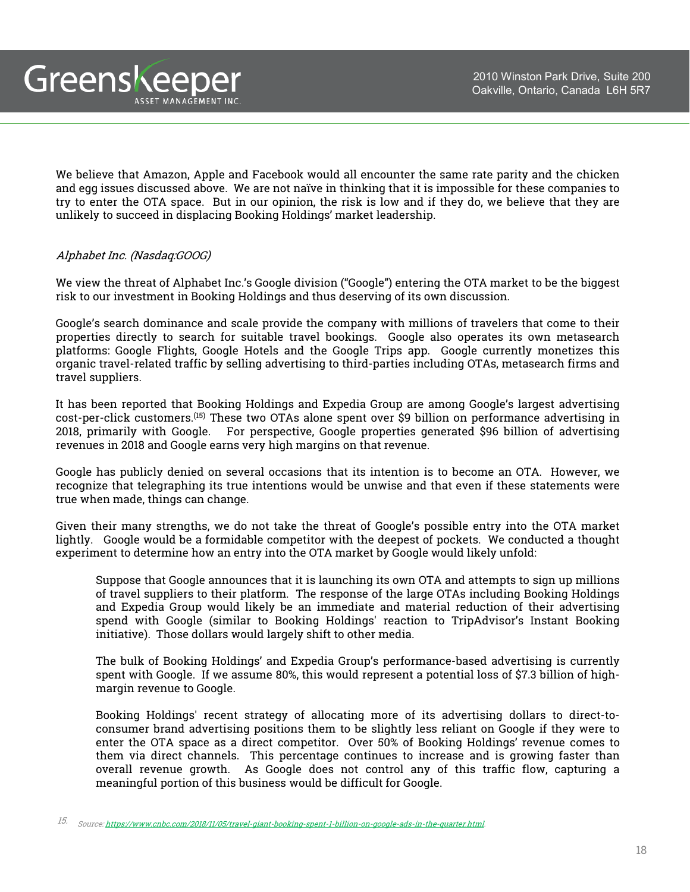We believe that Amazon, Apple and Facebook would all encounter the same rate parity and the chicken and egg issues discussed above. We are not naïve in thinking that it is impossible for these companies to try to enter the OTA space. But in our opinion, the risk is low and if they do, we believe that they are

unlikely to succeed in displacing Booking Holdings' market leadership.

## Alphabet Inc. (Nasdaq:GOOG)

Greenskeeper

ASSET MANAGEMENT INC.

We view the threat of Alphabet Inc.'s Google division ("Google") entering the OTA market to be the biggest risk to our investment in Booking Holdings and thus deserving of its own discussion.

Google's search dominance and scale provide the company with millions of travelers that come to their properties directly to search for suitable travel bookings. Google also operates its own metasearch platforms: Google Flights, Google Hotels and the Google Trips app. Google currently monetizes this organic travel-related traffic by selling advertising to third-parties including OTAs, metasearch firms and travel suppliers.

It has been reported that Booking Holdings and Expedia Group are among Google's largest advertising cost-per-click customers. (15) These two OTAs alone spent over \$9 billion on performance advertising in 2018, primarily with Google. For perspective, Google properties generated \$96 billion of advertising revenues in 2018 and Google earns very high margins on that revenue.

Google has publicly denied on several occasions that its intention is to become an OTA. However, we recognize that telegraphing its true intentions would be unwise and that even if these statements were true when made, things can change.

Given their many strengths, we do not take the threat of Google's possible entry into the OTA market lightly. Google would be a formidable competitor with the deepest of pockets. We conducted a thought experiment to determine how an entry into the OTA market by Google would likely unfold:

Suppose that Google announces that it is launching its own OTA and attempts to sign up millions of travel suppliers to their platform. The response of the large OTAs including Booking Holdings and Expedia Group would likely be an immediate and material reduction of their advertising spend with Google (similar to Booking Holdings' reaction to TripAdvisor's Instant Booking initiative). Those dollars would largely shift to other media.

The bulk of Booking Holdings' and Expedia Group's performance-based advertising is currently spent with Google. If we assume 80%, this would represent a potential loss of \$7.3 billion of highmargin revenue to Google.

Booking Holdings' recent strategy of allocating more of its advertising dollars to direct-toconsumer brand advertising positions them to be slightly less reliant on Google if they were to enter the OTA space as a direct competitor. Over 50% of Booking Holdings' revenue comes to them via direct channels. This percentage continues to increase and is growing faster than overall revenue growth. As Google does not control any of this traffic flow, capturing a meaningful portion of this business would be difficult for Google.

<sup>15.</sup> Source: [https://www.cnbc.com/2018/11/05/travel-giant-booking-spent-1-billion-on-google-ads-in-the-quarter.html.](https://www.cnbc.com/2018/11/05/travel-giant-booking-spent-1-billion-on-google-ads-in-the-quarter.html)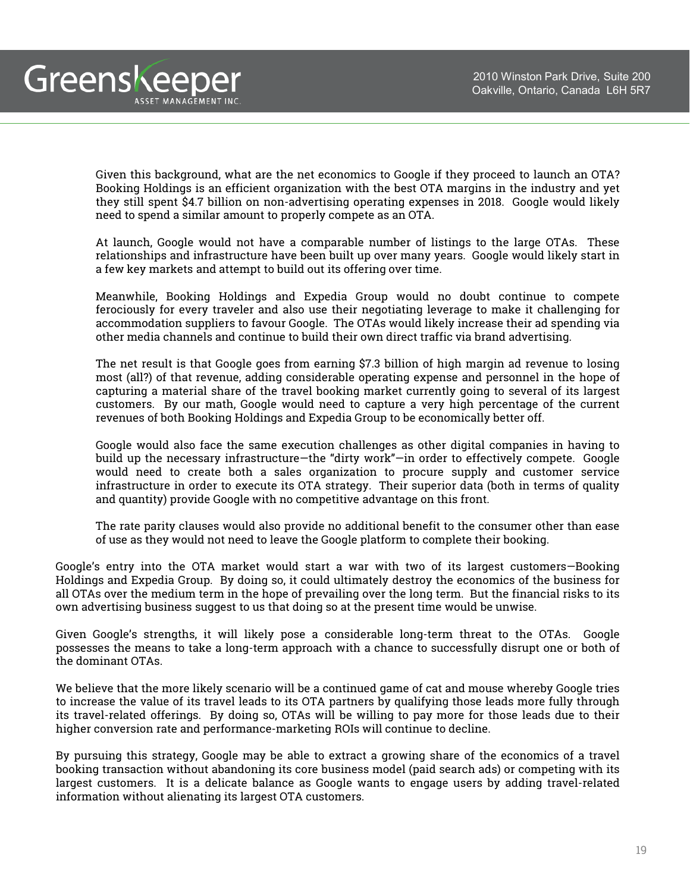

Given this background, what are the net economics to Google if they proceed to launch an OTA? Booking Holdings is an efficient organization with the best OTA margins in the industry and yet they still spent \$4.7 billion on non-advertising operating expenses in 2018. Google would likely need to spend a similar amount to properly compete as an OTA.

At launch, Google would not have a comparable number of listings to the large OTAs. These relationships and infrastructure have been built up over many years. Google would likely start in a few key markets and attempt to build out its offering over time.

Meanwhile, Booking Holdings and Expedia Group would no doubt continue to compete ferociously for every traveler and also use their negotiating leverage to make it challenging for accommodation suppliers to favour Google. The OTAs would likely increase their ad spending via other media channels and continue to build their own direct traffic via brand advertising.

The net result is that Google goes from earning \$7.3 billion of high margin ad revenue to losing most (all?) of that revenue, adding considerable operating expense and personnel in the hope of capturing a material share of the travel booking market currently going to several of its largest customers. By our math, Google would need to capture a very high percentage of the current revenues of both Booking Holdings and Expedia Group to be economically better off.

Google would also face the same execution challenges as other digital companies in having to build up the necessary infrastructure—the "dirty work"—in order to effectively compete. Google would need to create both a sales organization to procure supply and customer service infrastructure in order to execute its OTA strategy. Their superior data (both in terms of quality and quantity) provide Google with no competitive advantage on this front.

The rate parity clauses would also provide no additional benefit to the consumer other than ease of use as they would not need to leave the Google platform to complete their booking.

Google's entry into the OTA market would start a war with two of its largest customers—Booking Holdings and Expedia Group. By doing so, it could ultimately destroy the economics of the business for all OTAs over the medium term in the hope of prevailing over the long term. But the financial risks to its own advertising business suggest to us that doing so at the present time would be unwise.

Given Google's strengths, it will likely pose a considerable long-term threat to the OTAs. Google possesses the means to take a long-term approach with a chance to successfully disrupt one or both of the dominant OTAs.

We believe that the more likely scenario will be a continued game of cat and mouse whereby Google tries to increase the value of its travel leads to its OTA partners by qualifying those leads more fully through its travel-related offerings. By doing so, OTAs will be willing to pay more for those leads due to their higher conversion rate and performance-marketing ROIs will continue to decline.

By pursuing this strategy, Google may be able to extract a growing share of the economics of a travel booking transaction without abandoning its core business model (paid search ads) or competing with its largest customers. It is a delicate balance as Google wants to engage users by adding travel-related information without alienating its largest OTA customers.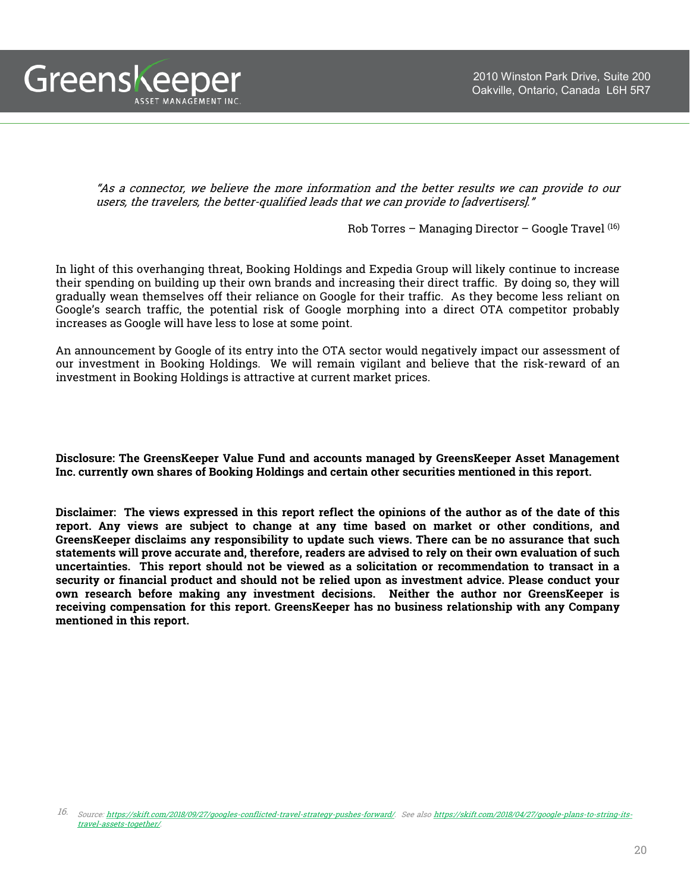

"As <sup>a</sup> connector, we believe the more information and the better results we can provide to our users, the travelers, the better-qualified leads that we can provide to [advertisers]."

Rob Torres – Managing Director – Google Travel  $(16)$ 

In light of this overhanging threat, Booking Holdings and Expedia Group will likely continue to increase their spending on building up their own brands and increasing their direct traffic. By doing so, they will gradually wean themselves off their reliance on Google for their traffic. As they become less reliant on Google's search traffic, the potential risk of Google morphing into a direct OTA competitor probably increases as Google will have less to lose at some point.

An announcement by Google of its entry into the OTA sector would negatively impact our assessment of our investment in Booking Holdings. We will remain vigilant and believe that the risk-reward of an investment in Booking Holdings is attractive at current market prices.

**Disclosure: The GreensKeeper Value Fund and accounts managed by GreensKeeper Asset Management Inc. currently own shares of Booking Holdings and certain other securities mentioned in this report.**

Disclaimer: The views expressed in this report reflect the opinions of the author as of the date of this **report. Any views are subject to change at any time based on market or other conditions, and GreensKeeper disclaims any responsibility to update such views. There can be no assurance that such** statements will prove accurate and, therefore, readers are advised to rely on their own evaluation of such **uncertainties. This report should not be viewed as a solicitation or recommendation to transact in a security or financial product and should not be relied upon as investment advice. Please conduct your own research before making any investment decisions. Neither the author nor GreensKeeper is receiving compensation for this report. GreensKeeper has no business relationship with any Company mentioned in this report.**

<sup>16.</sup> Source: [htt](https://skift.com/2018/09/27/googles-conflicted-travel-strategy-pushes-forward/)[p](https://skift.com/2018/04/27/google-plans-to-string-its-travel-assets-together/)[s://skift.com/2018/09/27/](https://skift.com/2018/09/27/googles-conflicted-travel-strategy-pushes-forward/)[g](https://skift.com/2018/04/27/google-plans-to-string-its-travel-assets-together/)[oo](https://skift.com/2018/09/27/googles-conflicted-travel-strategy-pushes-forward/)[g](https://skift.com/2018/04/27/google-plans-to-string-its-travel-assets-together/)[les-conflicted-travel-strate](https://skift.com/2018/09/27/googles-conflicted-travel-strategy-pushes-forward/)[gy](https://skift.com/2018/04/27/google-plans-to-string-its-travel-assets-together/)[-](https://skift.com/2018/09/27/googles-conflicted-travel-strategy-pushes-forward/)[p](https://skift.com/2018/04/27/google-plans-to-string-its-travel-assets-together/)[ushes-forward](https://skift.com/2018/09/27/googles-conflicted-travel-strategy-pushes-forward/)[/.](https://skift.com/2018/04/27/google-plans-to-string-its-travel-assets-together/) See also https://skift.com/2018/04/27/google-plans-to-string-itstravel-assets-together/.